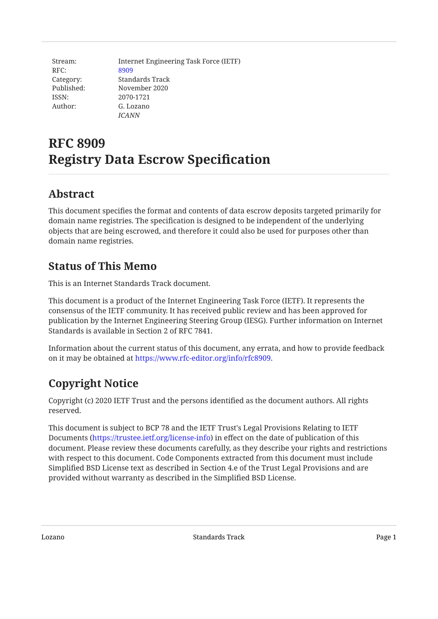| Stream:    | Internet Engineering Task Force (IETF) |
|------------|----------------------------------------|
| RFC:       | 8909                                   |
| Category:  | Standards Track                        |
| Published: | November 2020                          |
| ISSN:      | 2070-1721                              |
| Author:    | G. Lozano                              |
|            | ICANN                                  |

# **RFC 8909 Registry Data Escrow Specification**

## <span id="page-0-0"></span>**[Abstract](#page-0-0)**

This document specifies the format and contents of data escrow deposits targeted primarily for domain name registries. The specification is designed to be independent of the underlying objects that are being escrowed, and therefore it could also be used for purposes other than domain name registries.

## <span id="page-0-1"></span>**[Status of This Memo](#page-0-1)**

This is an Internet Standards Track document.

This document is a product of the Internet Engineering Task Force (IETF). It represents the consensus of the IETF community. It has received public review and has been approved for publication by the Internet Engineering Steering Group (IESG). Further information on Internet Standards is available in Section 2 of RFC 7841.

Information about the current status of this document, any errata, and how to provide feedback on it may be obtained at <https://www.rfc-editor.org/info/rfc8909>.

# <span id="page-0-2"></span>**[Copyright Notice](#page-0-2)**

Copyright (c) 2020 IETF Trust and the persons identified as the document authors. All rights reserved.

This document is subject to BCP 78 and the IETF Trust's Legal Provisions Relating to IETF Documents (<https://trustee.ietf.org/license-info>) in effect on the date of publication of this document. Please review these documents carefully, as they describe your rights and restrictions with respect to this document. Code Components extracted from this document must include Simplified BSD License text as described in Section 4.e of the Trust Legal Provisions and are provided without warranty as described in the Simplified BSD License.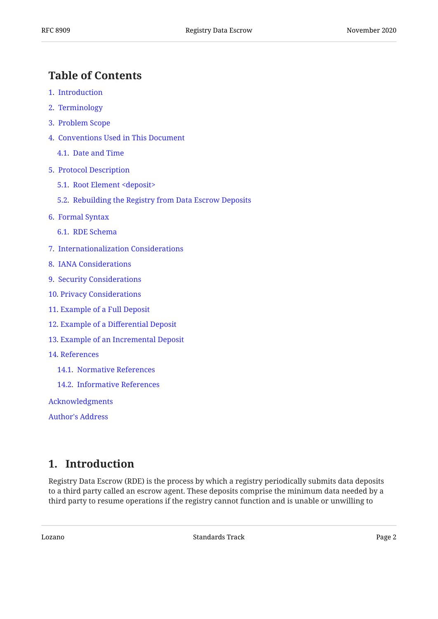## <span id="page-1-0"></span>**[Table of Contents](#page-1-0)**

- [1.](#page-1-1) [Introduction](#page-1-1)
- [2.](#page-2-0) [Terminology](#page-2-0)
- [3.](#page-3-0) [Problem Scope](#page-3-0)
- [4.](#page-4-0) [Conventions Used in This Document](#page-4-0)
	- [4.1.](#page-4-1) [Date and Time](#page-4-1)
- [5.](#page-5-0) [Protocol Description](#page-5-0)
	- [5.1.](#page-5-1) [Root Element <deposit>](#page-5-1)
	- [5.2.](#page-6-0) [Rebuilding the Registry from Data Escrow Deposits](#page-6-0)
- [6.](#page-6-1) [Formal Syntax](#page-6-1)
	- [6.1.](#page-7-0) [RDE Schema](#page-7-0)
- [7.](#page-9-0) [Internationalization Considerations](#page-9-0)
- [8.](#page-9-1) [IANA Considerations](#page-9-1)
- [9.](#page-10-0) [Security Considerations](#page-10-0)
- [10](#page-10-1). [Privacy Considerations](#page-10-1)
- [11](#page-11-0). [Example of a Full Deposit](#page-11-0)
- [12](#page-12-0). Example of a Diff[erential Deposit](#page-12-0)
- [13](#page-13-0). [Example of an Incremental Deposit](#page-13-0)
- [14](#page-13-1). [References](#page-13-1)
	- [14.1](#page-13-2). [Normative References](#page-13-2)
	- [14.2](#page-14-0). [Informative References](#page-14-0)

[Acknowledgments](#page-14-1)

[Author's Address](#page-15-0)

## <span id="page-1-1"></span>**[1. Introduction](#page-1-1)**

Registry Data Escrow (RDE) is the process by which a registry periodically submits data deposits to a third party called an escrow agent. These deposits comprise the minimum data needed by a third party to resume operations if the registry cannot function and is unable or unwilling to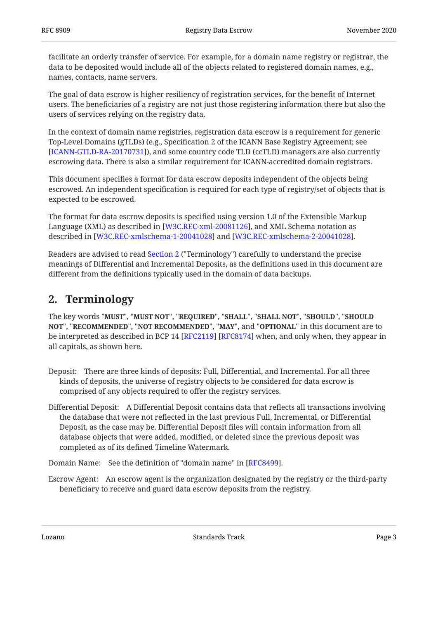facilitate an orderly transfer of service. For example, for a domain name registry or registrar, the data to be deposited would include all of the objects related to registered domain names, e.g., names, contacts, name servers.

The goal of data escrow is higher resiliency of registration services, for the benefit of Internet users. The beneficiaries of a registry are not just those registering information there but also the users of services relying on the registry data.

In the context of domain name registries, registration data escrow is a requirement for generic Top-Level Domains (gTLDs) (e.g., Specification 2 of the ICANN Base Registry Agreement; see [[ICANN-GTLD-RA-20170731\]](#page-14-2)), and some country code TLD (ccTLD) managers are also currently escrowing data. There is also a similar requirement for ICANN-accredited domain registrars.

This document specifies a format for data escrow deposits independent of the objects being escrowed. An independent specification is required for each type of registry/set of objects that is expected to be escrowed.

The format for data escrow deposits is specified using version 1.0 of the Extensible Markup Language (XML) as described in [W3C.REC-xml-20081126], and XML Schema notation as described in [W3C.REC-xmlschema-1-20041028] and [W3C.REC-xmlschema-2-20041028].

Readers are advised to read [Section 2](#page-2-0) ("Terminology") carefully to understand the precise meanings of Differential and Incremental Deposits, as the definitions used in this document are different from the definitions typically used in the domain of data backups.

## <span id="page-2-0"></span>**[2. Terminology](#page-2-0)**

The key words "MUST", "MUST NOT", "REQUIRED", "SHALL", "SHALL NOT", "SHOULD", "SHOULD <code>NOT",</code> "<code>RECOMMENDED", "NOT RECOMMENDED", "MAY", and "OPTIONAL" in this document are to</code> be interpreted as described in BCP 14 [RFC2119] [RFC8174] when, and only when, they appear in all capitals, as shown here.

- Deposit: There are three kinds of deposits: Full, Differential, and Incremental. For all three kinds of deposits, the universe of registry objects to be considered for data escrow is comprised of any objects required to offer the registry services.
- Differential Deposit: A Differential Deposit contains data that reflects all transactions involving the database that were not reflected in the last previous Full, Incremental, or Differential Deposit, as the case may be. Differential Deposit files will contain information from all database objects that were added, modified, or deleted since the previous deposit was completed as of its defined Timeline Watermark.

Domain Name: See the definition of "domain name" in [RFC8499].

Escrow Agent: An escrow agent is the organization designated by the registry or the third-party beneficiary to receive and guard data escrow deposits from the registry.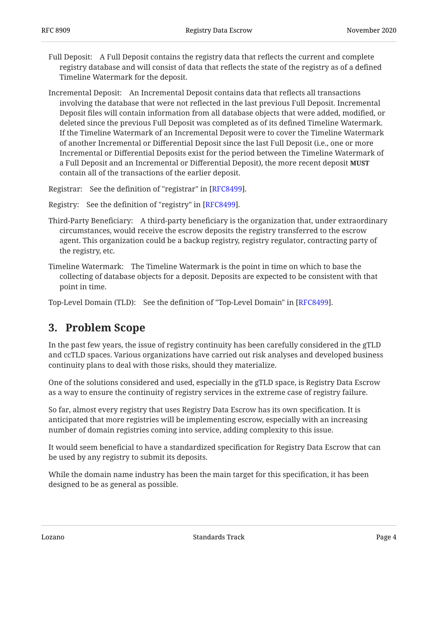- Full Deposit: A Full Deposit contains the registry data that reflects the current and complete registry database and will consist of data that reflects the state of the registry as of a defined Timeline Watermark for the deposit.
- Incremental Deposit: An Incremental Deposit contains data that reflects all transactions involving the database that were not reflected in the last previous Full Deposit. Incremental Deposit files will contain information from all database objects that were added, modified, or deleted since the previous Full Deposit was completed as of its defined Timeline Watermark. If the Timeline Watermark of an Incremental Deposit were to cover the Timeline Watermark of another Incremental or Differential Deposit since the last Full Deposit (i.e., one or more Incremental or Differential Deposits exist for the period between the Timeline Watermark of a Full Deposit and an Incremental or Differential Deposit), the more recent deposit **MUST** contain all of the transactions of the earlier deposit.
- Registrar: See the definition of "registrar" in [RFC8499].
- Registry: See the definition of "registry" in [RFC8499].
- Third-Party Beneficiary: A third-party beneficiary is the organization that, under extraordinary circumstances, would receive the escrow deposits the registry transferred to the escrow agent. This organization could be a backup registry, registry regulator, contracting party of the registry, etc.
- Timeline Watermark: The Timeline Watermark is the point in time on which to base the collecting of database objects for a deposit. Deposits are expected to be consistent with that point in time.

<span id="page-3-0"></span>Top-Level Domain (TLD): See the definition of "Top-Level Domain" in [RFC8499].

## **[3. Problem Scope](#page-3-0)**

In the past few years, the issue of registry continuity has been carefully considered in the gTLD and ccTLD spaces. Various organizations have carried out risk analyses and developed business continuity plans to deal with those risks, should they materialize.

One of the solutions considered and used, especially in the gTLD space, is Registry Data Escrow as a way to ensure the continuity of registry services in the extreme case of registry failure.

So far, almost every registry that uses Registry Data Escrow has its own specification. It is anticipated that more registries will be implementing escrow, especially with an increasing number of domain registries coming into service, adding complexity to this issue.

It would seem beneficial to have a standardized specification for Registry Data Escrow that can be used by any registry to submit its deposits.

While the domain name industry has been the main target for this specification, it has been designed to be as general as possible.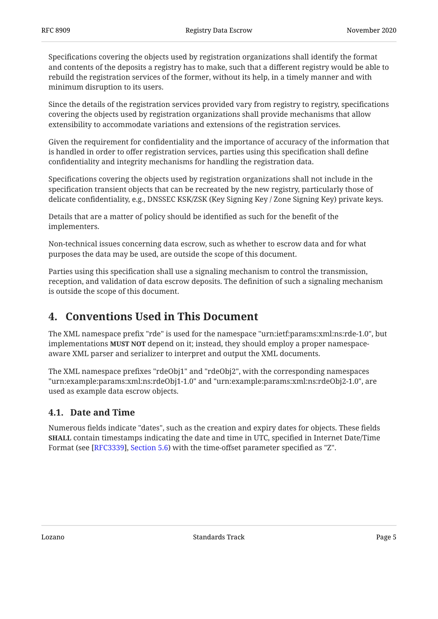Specifications covering the objects used by registration organizations shall identify the format and contents of the deposits a registry has to make, such that a different registry would be able to rebuild the registration services of the former, without its help, in a timely manner and with minimum disruption to its users.

Since the details of the registration services provided vary from registry to registry, specifications covering the objects used by registration organizations shall provide mechanisms that allow extensibility to accommodate variations and extensions of the registration services.

Given the requirement for confidentiality and the importance of accuracy of the information that is handled in order to offer registration services, parties using this specification shall define confidentiality and integrity mechanisms for handling the registration data.

Specifications covering the objects used by registration organizations shall not include in the specification transient objects that can be recreated by the new registry, particularly those of delicate confidentiality, e.g., DNSSEC KSK/ZSK (Key Signing Key / Zone Signing Key) private keys.

Details that are a matter of policy should be identified as such for the benefit of the implementers.

Non-technical issues concerning data escrow, such as whether to escrow data and for what purposes the data may be used, are outside the scope of this document.

Parties using this specification shall use a signaling mechanism to control the transmission, reception, and validation of data escrow deposits. The definition of such a signaling mechanism is outside the scope of this document.

## <span id="page-4-0"></span>**[4. Conventions Used in This Document](#page-4-0)**

The XML namespace prefix "rde" is used for the namespace "urn:ietf:params:xml:ns:rde-1.0", but implementations **MUST NOT** depend on it; instead, they should employ a proper namespaceaware XML parser and serializer to interpret and output the XML documents.

The XML namespace prefixes "rdeObj1" and "rdeObj2", with the corresponding namespaces "urn:example:params:xml:ns:rdeObj1-1.0" and "urn:example:params:xml:ns:rdeObj2-1.0", are used as example data escrow objects.

### <span id="page-4-1"></span>**[4.1. Date and Time](#page-4-1)**

Numerous fields indicate "dates", such as the creation and expiry dates for objects. These fields **SHALL** contain timestamps indicating the date and time in UTC, specified in Internet Date/Time Format (see [RFC3339], Section 5.6[\)](https://www.rfc-editor.org/rfc/rfc3339#section-5.6) with the time-offset parameter specified as "Z".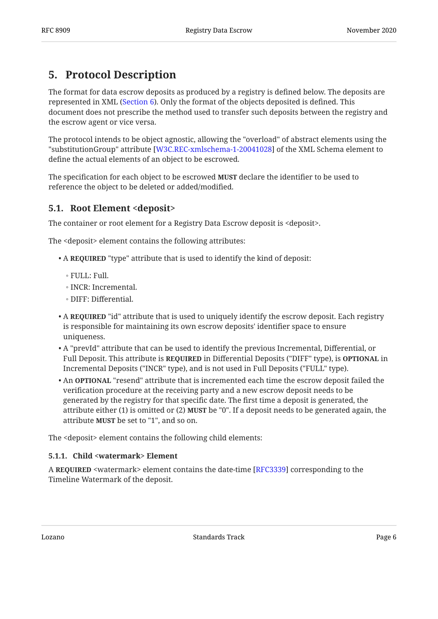## <span id="page-5-0"></span>**[5. Protocol Description](#page-5-0)**

The format for data escrow deposits as produced by a registry is defined below. The deposits are represented in XML ([Section 6\)](#page-6-1). Only the format of the objects deposited is defined. This document does not prescribe the method used to transfer such deposits between the registry and the escrow agent or vice versa.

The protocol intends to be object agnostic, allowing the "overload" of abstract elements using the "substitutionGroup" attribute [W3C.REC-xmlschema-1-20041028] of the XML Schema element to define the actual elements of an object to be escrowed.

The specification for each object to be escrowed **MUST** declare the identifier to be used to reference the object to be deleted or added/modified.

### <span id="page-5-1"></span>**[5.1. Root Element <deposit>](#page-5-1)**

The container or root element for a Registry Data Escrow deposit is <deposit>.

The <deposit> element contains the following attributes:

- A **REQUIRED** "type" attribute that is used to identify the kind of deposit:
	- ∘ FULL: Full.
	- INCR: Incremental.
	- DIFF: Differential. ◦
- $\bullet$  A  $\bf{ReQUIRED}$  "id" attribute that is used to uniquely identify the escrow deposit. Each registry is responsible for maintaining its own escrow deposits' identifier space to ensure uniqueness.
- $\bullet$  A "prevId" attribute that can be used to identify the previous Incremental, Differential, or Full Deposit. This attribute is **REQUIRED** in Differential Deposits ("DIFF" type), is **OPTIONAL** in Incremental Deposits ("INCR" type), and is not used in Full Deposits ("FULL" type).
- An "resend" attribute that is incremented each time the escrow deposit failed the **OPTIONAL** verification procedure at the receiving party and a new escrow deposit needs to be generated by the registry for that specific date. The first time a deposit is generated, the attribute either (1) is omitted or (2) **MUST** be "0". If a deposit needs to be generated again, the attribute **MUST** be set to "1", and so on.

<span id="page-5-2"></span>The <deposit> element contains the following child elements:

### **[5.1.1. Child <watermark> Element](#page-5-2)**

A **REQUIRED** <watermark> element contains the date-time [RFC3339] corresponding to the Timeline Watermark of the deposit.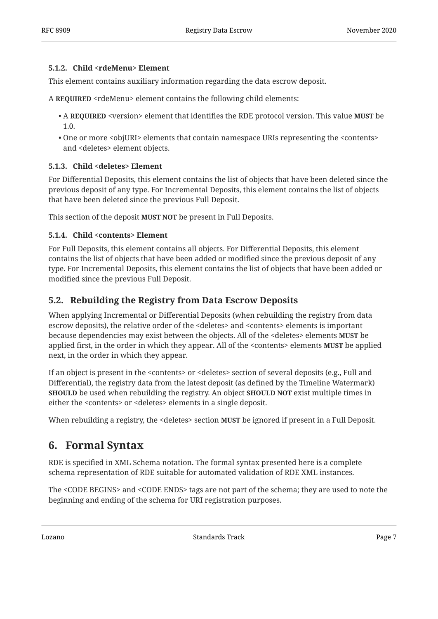### <span id="page-6-2"></span>**[5.1.2. Child <rdeMenu> Element](#page-6-2)**

This element contains auxiliary information regarding the data escrow deposit.

A **REQUIRED** <rdeMenu> element contains the following child elements:

- A REQUIRED <version> element that identifies the RDE protocol version. This value MUST be 1.0.
- $\bullet$  One or more <objURI> elements that contain namespace URIs representing the <contents> and <deletes> element objects.

#### <span id="page-6-3"></span>**[5.1.3. Child <deletes> Element](#page-6-3)**

For Differential Deposits, this element contains the list of objects that have been deleted since the previous deposit of any type. For Incremental Deposits, this element contains the list of objects that have been deleted since the previous Full Deposit.

<span id="page-6-4"></span>This section of the deposit MUST NOT be present in Full Deposits.

#### **[5.1.4. Child <contents> Element](#page-6-4)**

For Full Deposits, this element contains all objects. For Differential Deposits, this element contains the list of objects that have been added or modified since the previous deposit of any type. For Incremental Deposits, this element contains the list of objects that have been added or modified since the previous Full Deposit.

### <span id="page-6-0"></span>**[5.2. Rebuilding the Registry from Data Escrow Deposits](#page-6-0)**

When applying Incremental or Differential Deposits (when rebuilding the registry from data escrow deposits), the relative order of the <deletes> and <contents> elements is important because dependencies may exist between the objects. All of the <deletes> elements **MUST** be applied first, in the order in which they appear. All of the <contents> elements **MUST** be applied next, in the order in which they appear.

If an object is present in the <contents> or <deletes> section of several deposits (e.g., Full and Differential), the registry data from the latest deposit (as defined by the Timeline Watermark) **SHOULD** be used when rebuilding the registry. An object **SHOULD NOT** exist multiple times in either the <contents> or <deletes> elements in a single deposit.

<span id="page-6-1"></span>When rebuilding a registry, the <deletes> section **MUST** be ignored if present in a Full Deposit.

### **[6. Formal Syntax](#page-6-1)**

RDE is specified in XML Schema notation. The formal syntax presented here is a complete schema representation of RDE suitable for automated validation of RDE XML instances.

The <CODE BEGINS> and <CODE ENDS> tags are not part of the schema; they are used to note the beginning and ending of the schema for URI registration purposes.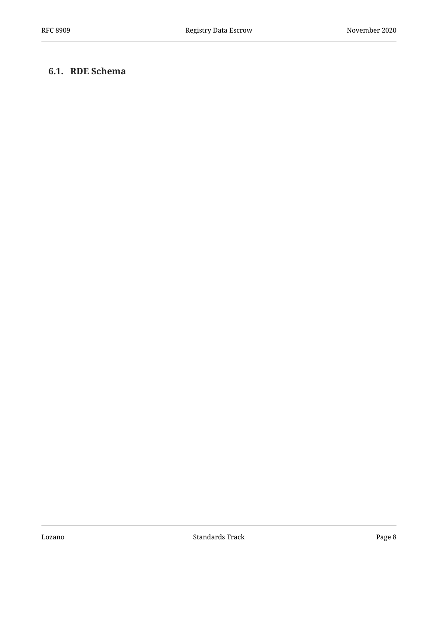### <span id="page-7-0"></span>**[6.1. RDE Schema](#page-7-0)**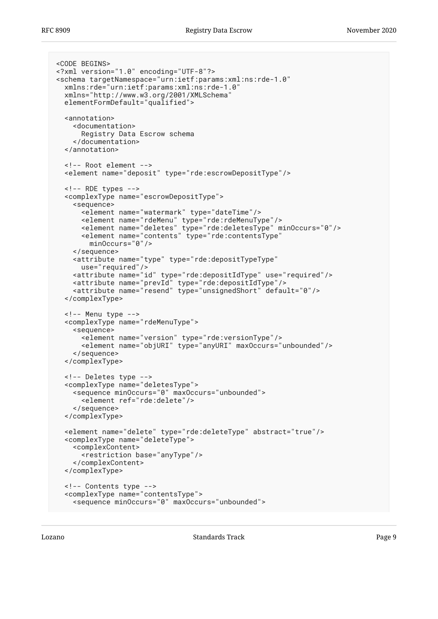```
<CODE BEGINS>
<?xml version="1.0" encoding="UTF-8"?>
<schema targetNamespace="urn:ietf:params:xml:ns:rde-1.0"
   xmlns:rde="urn:ietf:params:xml:ns:rde-1.0"
   xmlns="http://www.w3.org/2001/XMLSchema"
   elementFormDefault="qualified">
   <annotation>
     <documentation>
       Registry Data Escrow schema
     </documentation>
   </annotation>
   <!-- Root element -->
   <element name="deposit" type="rde:escrowDepositType"/>
  \leftarrow!-- RDE types -->
   <complexType name="escrowDepositType">
     <sequence>
       <element name="watermark" type="dateTime"/>
       <element name="rdeMenu" type="rde:rdeMenuType"/>
       <element name="deletes" type="rde:deletesType" minOccurs="0"/>
       <element name="contents" type="rde:contentsType"
         minOccurs="0"/>
     </sequence>
     <attribute name="type" type="rde:depositTypeType"
       use="required"/>
     <attribute name="id" type="rde:depositIdType" use="required"/>
     <attribute name="prevId" type="rde:depositIdType"/>
     <attribute name="resend" type="unsignedShort" default="0"/>
   </complexType>
   <!-- Menu type -->
   <complexType name="rdeMenuType">
     <sequence>
       <element name="version" type="rde:versionType"/>
       <element name="objURI" type="anyURI" maxOccurs="unbounded"/>
     </sequence>
   </complexType>
   <!-- Deletes type -->
   <complexType name="deletesType">
     <sequence minOccurs="0" maxOccurs="unbounded">
       <element ref="rde:delete"/>
     </sequence>
   </complexType>
   <element name="delete" type="rde:deleteType" abstract="true"/>
   <complexType name="deleteType">
     <complexContent>
       <restriction base="anyType"/>
     </complexContent>
   </complexType>
   <!-- Contents type -->
   <complexType name="contentsType">
     <sequence minOccurs="0" maxOccurs="unbounded">
```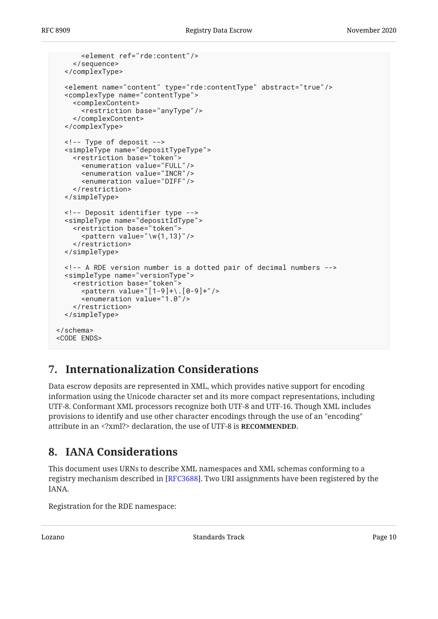```
 <element ref="rde:content"/>
     </sequence>
   </complexType>
   <element name="content" type="rde:contentType" abstract="true"/>
   <complexType name="contentType">
     <complexContent>
       <restriction base="anyType"/>
     </complexContent>
   </complexType>
   <!-- Type of deposit -->
   <simpleType name="depositTypeType">
     <restriction base="token">
       <enumeration value="FULL"/>
      <enumeration value="INCR
       <enumeration value="DIFF"/>
     </restriction>
   </simpleType>
   <!-- Deposit identifier type -->
   <simpleType name="depositIdType">
     <restriction base="token">
      \epsilon <pattern value="\w{1,13}"/>
     </restriction>
   </simpleType>
   <!-- A RDE version number is a dotted pair of decimal numbers -->
   <simpleType name="versionType">
    <restriction base="token">
       <pattern value="[1-9]+\.[0-9]+"/>
       <enumeration value="1.0"/>
     </restriction>
   </simpleType>
</schema>
<CODE ENDS>
```
## <span id="page-9-0"></span>**[7. Internationalization Considerations](#page-9-0)**

Data escrow deposits are represented in XML, which provides native support for encoding information using the Unicode character set and its more compact representations, including UTF-8. Conformant XML processors recognize both UTF-8 and UTF-16. Though XML includes provisions to identify and use other character encodings through the use of an "encoding" attribute in an <?xml?> declaration, the use of UTF-8 is **RECOMMENDED**.

## <span id="page-9-1"></span>**[8. IANA Considerations](#page-9-1)**

This document uses URNs to describe XML namespaces and XML schemas conforming to a registry mechanism described in [RFC3688]. Two URI assignments have been registered by the IANA.

Registration for the RDE namespace: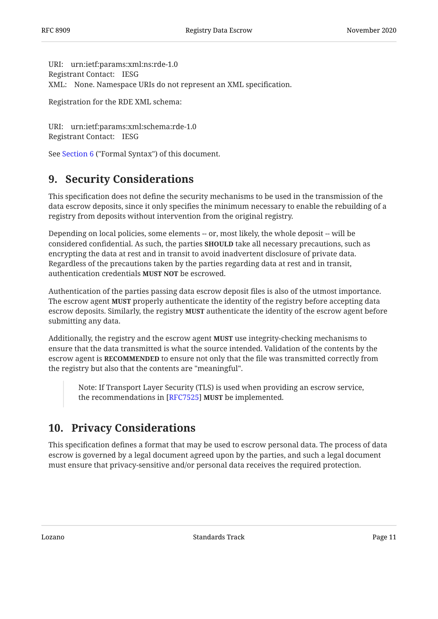```
URI:
urn:ietf:params:xml:ns:rde-1.0 
Registrant Contact:
IESG 
XML:
None. Namespace URIs do not represent an XML specification.
```
Registration for the RDE XML schema:

```
URI:
urn:ietf:params:xml:schema:rde-1.0 
Registrant Contact:
IESG
```
<span id="page-10-0"></span>See [Section 6](#page-6-1) ("Formal Syntax") of this document.

## **[9. Security Considerations](#page-10-0)**

This specification does not define the security mechanisms to be used in the transmission of the data escrow deposits, since it only specifies the minimum necessary to enable the rebuilding of a registry from deposits without intervention from the original registry.

Depending on local policies, some elements -- or, most likely, the whole deposit -- will be considered confidential. As such, the parties **SHOULD** take all necessary precautions, such as encrypting the data at rest and in transit to avoid inadvertent disclosure of private data. Regardless of the precautions taken by the parties regarding data at rest and in transit, authentication credentials MUST NOT be escrowed.

Authentication of the parties passing data escrow deposit files is also of the utmost importance. The escrow agent **MUST** properly authenticate the identity of the registry before accepting data escrow deposits. Similarly, the registry **MUST** authenticate the identity of the escrow agent before submitting any data.

Additionally, the registry and the escrow agent **MUST** use integrity-checking mechanisms to ensure that the data transmitted is what the source intended. Validation of the contents by the escrow agent is **RECOMMENDED** to ensure not only that the file was transmitted correctly from the registry but also that the contents are "meaningful".

Note: If Transport Layer Security (TLS) is used when providing an escrow service, the recommendations in [RFC7525] **MUST** be implemented.

## <span id="page-10-1"></span>**[10. Privacy Considerations](#page-10-1)**

This specification defines a format that may be used to escrow personal data. The process of data escrow is governed by a legal document agreed upon by the parties, and such a legal document must ensure that privacy-sensitive and/or personal data receives the required protection.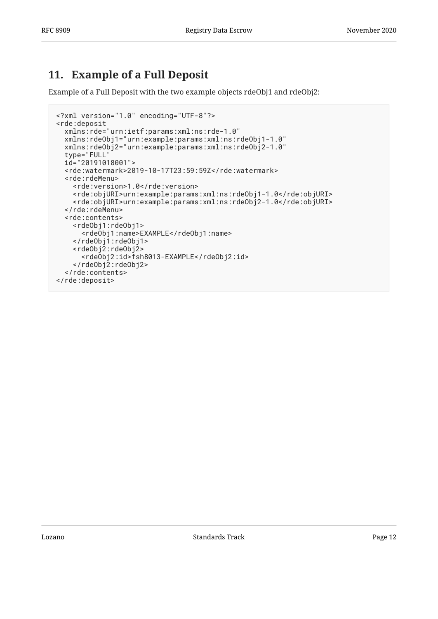## <span id="page-11-0"></span>**[11. Example of a Full Deposit](#page-11-0)**

Example of a Full Deposit with the two example objects rdeObj1 and rdeObj2:

```
<?xml version="1.0" encoding="UTF-8"?>
<rde:deposit
   xmlns:rde="urn:ietf:params:xml:ns:rde-1.0"
 xmlns:rdeObj1="urn:example:params:xml:ns:rdeObj1-1.0"
 xmlns:rdeObj2="urn:example:params:xml:ns:rdeObj2-1.0"
   type="FULL"
  id="20191018001">
   <rde:watermark>2019-10-17T23:59:59Z</rde:watermark>
   <rde:rdeMenu>
     <rde:version>1.0</rde:version>
     <rde:objURI>urn:example:params:xml:ns:rdeObj1-1.0</rde:objURI>
     <rde:objURI>urn:example:params:xml:ns:rdeObj2-1.0</rde:objURI>
   </rde:rdeMenu>
   <rde:contents>
     <rdeObj1:rdeObj1>
       <rdeObj1:name>EXAMPLE</rdeObj1:name>
     </rdeObj1:rdeObj1>
     <rdeObj2:rdeObj2>
       <rdeObj2:id>fsh8013-EXAMPLE</rdeObj2:id>
     </rdeObj2:rdeObj2>
  </rde:contents>
</rde:deposit>
```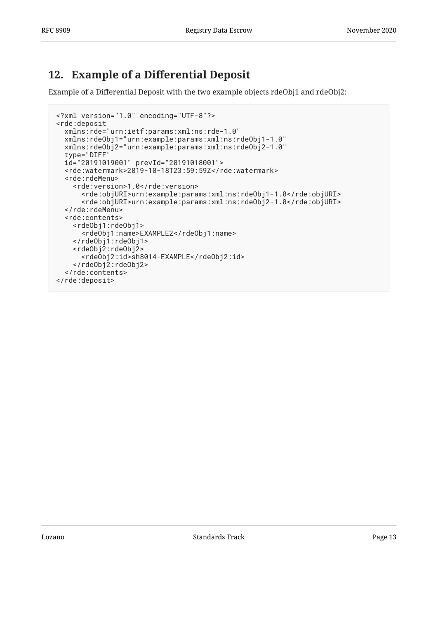## <span id="page-12-0"></span>**[12.](#page-12-0) Example of a Diff[erential Deposit](#page-12-0)**

Example of a Differential Deposit with the two example objects rdeObj1 and rdeObj2:

```
<?xml version="1.0" encoding="UTF-8"?>
<rde:deposit
   xmlns:rde="urn:ietf:params:xml:ns:rde-1.0"
 xmlns:rdeObj1="urn:example:params:xml:ns:rdeObj1-1.0"
 xmlns:rdeObj2="urn:example:params:xml:ns:rdeObj2-1.0"
   type="DIFF"
   id="20191019001" prevId="20191018001">
   <rde:watermark>2019-10-18T23:59:59Z</rde:watermark>
   <rde:rdeMenu>
     <rde:version>1.0</rde:version>
       <rde:objURI>urn:example:params:xml:ns:rdeObj1-1.0</rde:objURI>
       <rde:objURI>urn:example:params:xml:ns:rdeObj2-1.0</rde:objURI>
   </rde:rdeMenu>
   <rde:contents>
     <rdeObj1:rdeObj1>
       <rdeObj1:name>EXAMPLE2</rdeObj1:name>
     </rdeObj1:rdeObj1>
     <rdeObj2:rdeObj2>
       <rdeObj2:id>sh8014-EXAMPLE</rdeObj2:id>
     </rdeObj2:rdeObj2>
  </rde:contents>
</rde:deposit>
```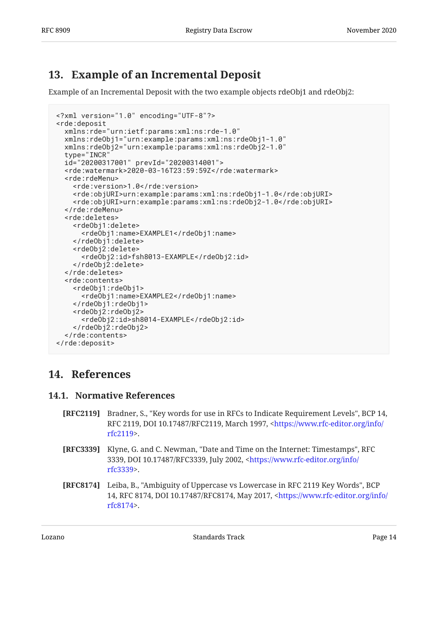## <span id="page-13-0"></span>**[13. Example of an Incremental Deposit](#page-13-0)**

Example of an Incremental Deposit with the two example objects rdeObj1 and rdeObj2:

```
<?xml version="1.0" encoding="UTF-8"?>
<rde:deposit
   xmlns:rde="urn:ietf:params:xml:ns:rde-1.0"
   xmlns:rdeObj1="urn:example:params:xml:ns:rdeObj1-1.0"
   xmlns:rdeObj2="urn:example:params:xml:ns:rdeObj2-1.0"
   type="INCR"
  id="20200317001" prevId="20200314001">
   <rde:watermark>2020-03-16T23:59:59Z</rde:watermark>
   <rde:rdeMenu>
     <rde:version>1.0</rde:version>
     <rde:objURI>urn:example:params:xml:ns:rdeObj1-1.0</rde:objURI>
     <rde:objURI>urn:example:params:xml:ns:rdeObj2-1.0</rde:objURI>
   </rde:rdeMenu>
   <rde:deletes>
     <rdeObj1:delete>
       <rdeObj1:name>EXAMPLE1</rdeObj1:name>
     </rdeObj1:delete>
     <rdeObj2:delete>
       <rdeObj2:id>fsh8013-EXAMPLE</rdeObj2:id>
     </rdeObj2:delete>
   </rde:deletes>
   <rde:contents>
     <rdeObj1:rdeObj1>
       <rdeObj1:name>EXAMPLE2</rdeObj1:name>
     </rdeObj1:rdeObj1>
     <rdeObj2:rdeObj2>
       <rdeObj2:id>sh8014-EXAMPLE</rdeObj2:id>
     </rdeObj2:rdeObj2>
   </rde:contents>
</rde:deposit>
```
## <span id="page-13-2"></span><span id="page-13-1"></span>**[14. References](#page-13-1)**

### **[14.1. Normative References](#page-13-2)**

- <span id="page-13-3"></span>**[RFC2119]** Bradner, S., "Key words for use in RFCs to Indicate Requirement Levels", BCP 14, RFC 2119, DOI 10.17487/RFC2119, March 1997, <[https://www.rfc-editor.org/info/](https://www.rfc-editor.org/info/rfc2119) . [rfc2119>](https://www.rfc-editor.org/info/rfc2119)
- <span id="page-13-5"></span>**[RFC3339]** Klyne, G. and C. Newman, "Date and Time on the Internet: Timestamps", RFC 3339, DOI 10.17487/RFC3339, July 2002, [<https://www.rfc-editor.org/info/](https://www.rfc-editor.org/info/rfc3339) . [rfc3339>](https://www.rfc-editor.org/info/rfc3339)
- <span id="page-13-4"></span>**[RFC8174]** Leiba, B., "Ambiguity of Uppercase vs Lowercase in RFC 2119 Key Words", BCP 14, RFC 8174, DOI 10.17487/RFC8174, May 2017, [<https://www.rfc-editor.org/info/](https://www.rfc-editor.org/info/rfc8174) . [rfc8174>](https://www.rfc-editor.org/info/rfc8174)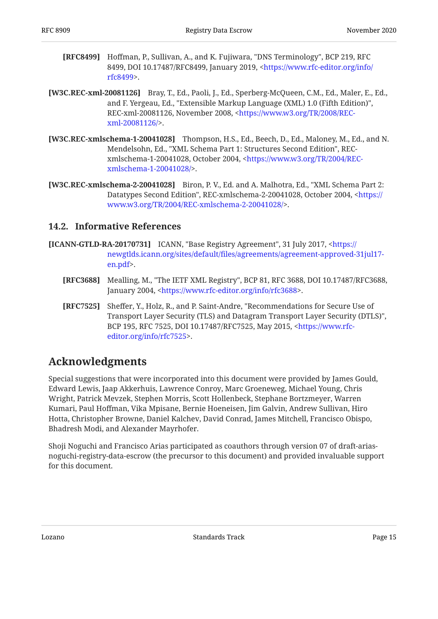- <span id="page-14-6"></span>**[RFC8499]** Hoffman, P., Sullivan, A., and K. Fujiwara, "DNS Terminology", BCP 219, RFC 8499, DOI 10.17487/RFC8499, January 2019, <[https://www.rfc-editor.org/info/](https://www.rfc-editor.org/info/rfc8499) . [rfc8499>](https://www.rfc-editor.org/info/rfc8499)
- <span id="page-14-3"></span>**[W3C.REC-xml-20081126]** Bray, T., Ed., Paoli, J., Ed., Sperberg-McQueen, C.M., Ed., Maler, E., Ed., and F. Yergeau, Ed., "Extensible Markup Language (XML) 1.0 (Fifth Edition)", REC-xml-20081126, November 2008, [<https://www.w3.org/TR/2008/REC-](https://www.w3.org/TR/2008/REC-xml-20081126/). [xml-20081126/>](https://www.w3.org/TR/2008/REC-xml-20081126/)
- <span id="page-14-4"></span>**[W3C.REC-xmlschema-1-20041028]** Thompson, H.S., Ed., Beech, D., Ed., Maloney, M., Ed., and N. Mendelsohn, Ed., "XML Schema Part 1: Structures Second Edition", RECxmlschema-1-20041028, October 2004, <[https://www.w3.org/TR/2004/REC-](https://www.w3.org/TR/2004/REC-xmlschema-1-20041028/). [xmlschema-1-20041028/>](https://www.w3.org/TR/2004/REC-xmlschema-1-20041028/)
- <span id="page-14-5"></span>**[W3C.REC-xmlschema-2-20041028]** , Biron, P. V., Ed. and A. Malhotra, Ed. "XML Schema Part 2: Datatypes Second Edition", REC-xmlschema-2-20041028, October 2004, [<https://](https://www.w3.org/TR/2004/REC-xmlschema-2-20041028/) . [www.w3.org/TR/2004/REC-xmlschema-2-20041028/](https://www.w3.org/TR/2004/REC-xmlschema-2-20041028/)>

### <span id="page-14-0"></span>**[14.2. Informative References](#page-14-0)**

- <span id="page-14-7"></span><span id="page-14-2"></span>**[ICANN-GTLD-RA-20170731]** ICANN, "Base Registry Agreement", 31 July 2017, [<https://](https://newgtlds.icann.org/sites/default/files/agreements/agreement-approved-31jul17-en.pdf) . [en.pdf](https://newgtlds.icann.org/sites/default/files/agreements/agreement-approved-31jul17-en.pdf)> newgtlds.icann.org/sites/default/fi[les/agreements/agreement-approved-31jul17-](https://newgtlds.icann.org/sites/default/files/agreements/agreement-approved-31jul17-en.pdf)
	- **[RFC3688]** Mealling, M., "The IETF XML Registry", BCP 81, RFC 3688, DOI 10.17487/RFC3688, January 2004, <https://www.rfc-editor.org/info/rfc3688>.
	- **[RFC7525]** Sheffer, Y., Holz, R., and P. Saint-Andre, "Recommendations for Secure Use of , Transport Layer Security (TLS) and Datagram Transport Layer Security (DTLS)" BCP 195, RFC 7525, DOI 10.17487/RFC7525, May 2015, [<https://www.rfc-](https://www.rfc-editor.org/info/rfc7525). [editor.org/info/rfc7525>](https://www.rfc-editor.org/info/rfc7525)

### <span id="page-14-8"></span><span id="page-14-1"></span>**[Acknowledgments](#page-14-1)**

Special suggestions that were incorporated into this document were provided by James Gould, Edward Lewis, Jaap Akkerhuis, Lawrence Conroy, Marc Groeneweg, Michael Young, Chris Wright, Patrick Mevzek, Stephen Morris, Scott Hollenbeck, Stephane Bortzmeyer, Warren Kumari, Paul Hoffman, Vika Mpisane, Bernie Hoeneisen, Jim Galvin, Andrew Sullivan, Hiro Hotta, Christopher Browne, Daniel Kalchev, David Conrad, James Mitchell, Francisco Obispo, Bhadresh Modi, and Alexander Mayrhofer.

Shoji Noguchi and Francisco Arias participated as coauthors through version 07 of draft-ariasnoguchi-registry-data-escrow (the precursor to this document) and provided invaluable support for this document.